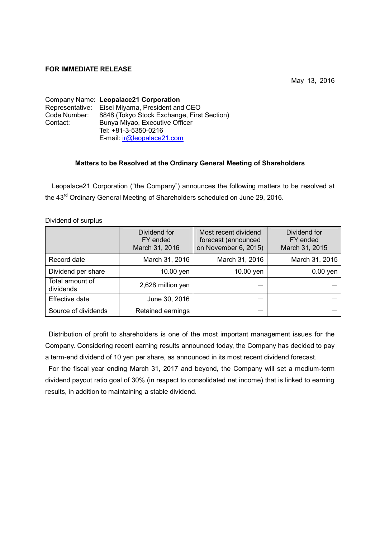## **FOR IMMEDIATE RELEASE**

May 13, 2016

Company Name: **Leopalace21 Corporation** Representative: Eisei Miyama, President and CEO Code Number: 8848 (Tokyo Stock Exchange, First Section) Contact: Bunya Miyao, Executive Officer Tel: +81-3-5350-0216 E-mail: ir@leopalace21.com

## **Matters to be Resolved at the Ordinary General Meeting of Shareholders**

Leopalace21 Corporation ("the Company") announces the following matters to be resolved at the 43<sup>rd</sup> Ordinary General Meeting of Shareholders scheduled on June 29, 2016.

|                              | Dividend for<br>FY ended<br>March 31, 2016 | Most recent dividend<br>forecast (announced<br>on November 6, 2015) | Dividend for<br>FY ended<br>March 31, 2015 |
|------------------------------|--------------------------------------------|---------------------------------------------------------------------|--------------------------------------------|
| Record date                  | March 31, 2016                             | March 31, 2016                                                      | March 31, 2015                             |
| Dividend per share           | 10.00 yen                                  | 10.00 yen                                                           | $0.00$ yen                                 |
| Total amount of<br>dividends | 2,628 million yen                          |                                                                     |                                            |
| Effective date               | June 30, 2016                              |                                                                     |                                            |
| Source of dividends          | Retained earnings                          |                                                                     |                                            |

Dividend of surplus

Distribution of profit to shareholders is one of the most important management issues for the Company. Considering recent earning results announced today, the Company has decided to pay a term-end dividend of 10 yen per share, as announced in its most recent dividend forecast.

For the fiscal year ending March 31, 2017 and beyond, the Company will set a medium-term dividend payout ratio goal of 30% (in respect to consolidated net income) that is linked to earning results, in addition to maintaining a stable dividend.